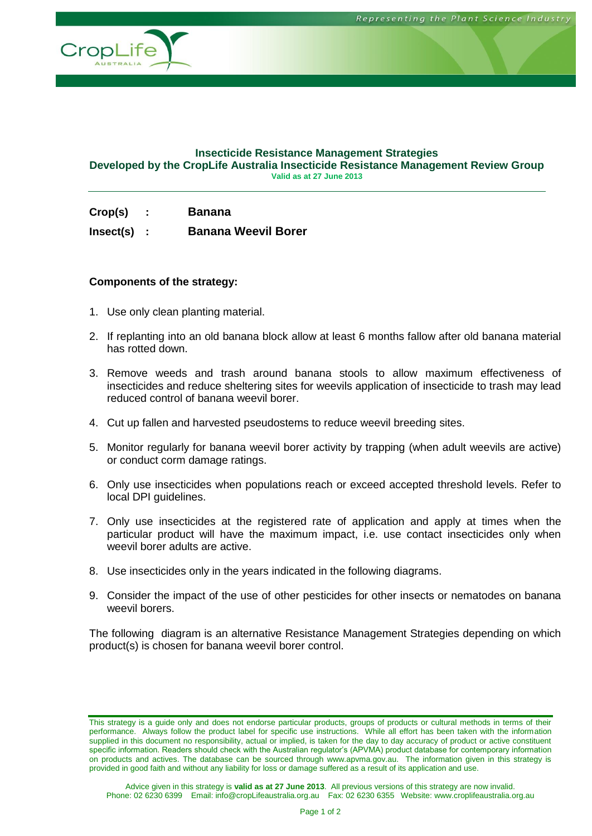

#### **Insecticide Resistance Management Strategies Developed by the CropLife Australia Insecticide Resistance Management Review Group Valid as at 27 June 2013**

|         | <b>Banana</b> |
|---------|---------------|
| Crop(s) |               |

**Insect(s) : Banana Weevil Borer**

#### **Components of the strategy:**

- 1. Use only clean planting material.
- 2. If replanting into an old banana block allow at least 6 months fallow after old banana material has rotted down.
- 3. Remove weeds and trash around banana stools to allow maximum effectiveness of insecticides and reduce sheltering sites for weevils application of insecticide to trash may lead reduced control of banana weevil borer.
- 4. Cut up fallen and harvested pseudostems to reduce weevil breeding sites.
- 5. Monitor regularly for banana weevil borer activity by trapping (when adult weevils are active) or conduct corm damage ratings.
- 6. Only use insecticides when populations reach or exceed accepted threshold levels. Refer to local DPI guidelines.
- 7. Only use insecticides at the registered rate of application and apply at times when the particular product will have the maximum impact, i.e. use contact insecticides only when weevil borer adults are active.
- 8. Use insecticides only in the years indicated in the following diagrams.
- 9. Consider the impact of the use of other pesticides for other insects or nematodes on banana weevil borers.

The following diagram is an alternative Resistance Management Strategies depending on which product(s) is chosen for banana weevil borer control.

This strategy is a guide only and does not endorse particular products, groups of products or cultural methods in terms of their performance. Always follow the product label for specific use instructions. While all effort has been taken with the information supplied in this document no responsibility, actual or implied, is taken for the day to day accuracy of product or active constituent specific information. Readers should check with the Australian regulator's (APVMA) product database for contemporary information on products and actives. The database can be sourced through www.apvma.gov.au. The information given in this strategy is provided in good faith and without any liability for loss or damage suffered as a result of its application and use.